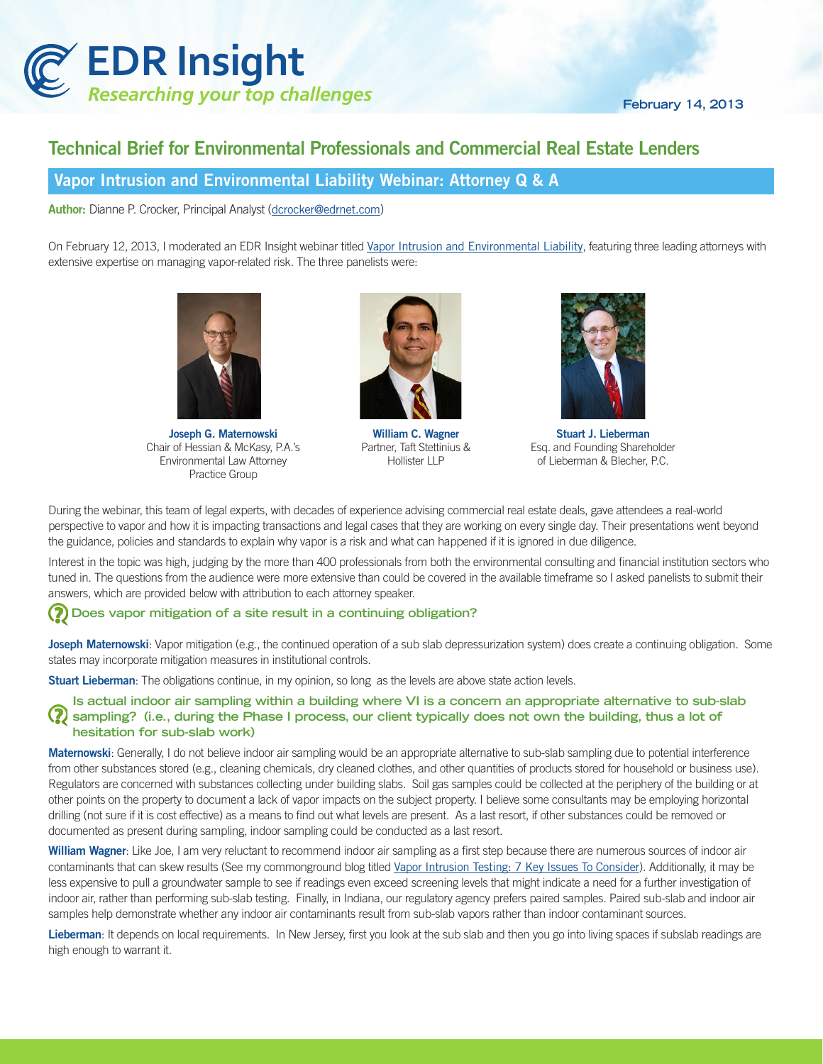

# Technical Brief for Environmental Professionals and Commercial Real Estate Lenders

## Vapor Intrusion and Environmental Liability Webinar: Attorney Q & A

Author: Dianne P. Crocker, Principal Analyst (dcrocke[r@edrnet.com](mailto:agowen%40edrnet.com?subject=))

On February 12, 2013, I moderated an EDR Insight webinar titled [Vapor Intrusion and Environmental Liability](http://www.edrnet.com/events--resources/web-seminars-current), featuring three leading attorneys with extensive expertise on managing vapor-related risk. The three panelists were:



Joseph G. Maternowski Chair of Hessian & McKasy, P.A.'s Environmental Law Attorney Practice Group



William C. Wagner Partner, Taft Stettinius & Hollister LLP



Stuart J. Lieberman Esq. and Founding Shareholder of Lieberman & Blecher, P.C.

During the webinar, this team of legal experts, with decades of experience advising commercial real estate deals, gave attendees a real-world perspective to vapor and how it is impacting transactions and legal cases that they are working on every single day. Their presentations went beyond the guidance, policies and standards to explain why vapor is a risk and what can happened if it is ignored in due diligence.

Interest in the topic was high, judging by the more than 400 professionals from both the environmental consulting and financial institution sectors who tuned in. The questions from the audience were more extensive than could be covered in the available timeframe so I asked panelists to submit their answers, which are provided below with attribution to each attorney speaker.

## **Does vapor mitigation of a site result in a continuing obligation?**

Joseph Maternowski: Vapor mitigation (e.g., the continued operation of a sub slab depressurization system) does create a continuing obligation. Some states may incorporate mitigation measures in institutional controls.

Stuart Lieberman: The obligations continue, in my opinion, so long as the levels are above state action levels.

**Is actual indoor air sampling within a building where VI is a concern an appropriate alternative to sub-slab sampling? (i.e., during the Phase I process, our client typically does not own the building, thus a lot of hesitation for sub-slab work)**

Maternowski: Generally, I do not believe indoor air sampling would be an appropriate alternative to sub-slab sampling due to potential interference from other substances stored (e.g., cleaning chemicals, dry cleaned clothes, and other quantities of products stored for household or business use). Regulators are concerned with substances collecting under building slabs. Soil gas samples could be collected at the periphery of the building or at other points on the property to document a lack of vapor impacts on the subject property. I believe some consultants may be employing horizontal drilling (not sure if it is cost effective) as a means to find out what levels are present. As a last resort, if other substances could be removed or documented as present during sampling, indoor sampling could be conducted as a last resort.

William Wagner: Like Joe, I am very reluctant to recommend indoor air sampling as a first step because there are numerous sources of indoor air contaminants that can skew results (See my commonground blog titled [Vapor Intrusion Testing: 7 Key Issues To Consider](http://commonground.edrnet.com/posts/b080ff8ead)). Additionally, it may be less expensive to pull a groundwater sample to see if readings even exceed screening levels that might indicate a need for a further investigation of indoor air, rather than performing sub-slab testing. Finally, in Indiana, our regulatory agency prefers paired samples. Paired sub-slab and indoor air samples help demonstrate whether any indoor air contaminants result from sub-slab vapors rather than indoor contaminant sources.

Lieberman: It depends on local requirements. In New Jersey, first you look at the sub slab and then you go into living spaces if subslab readings are high enough to warrant it.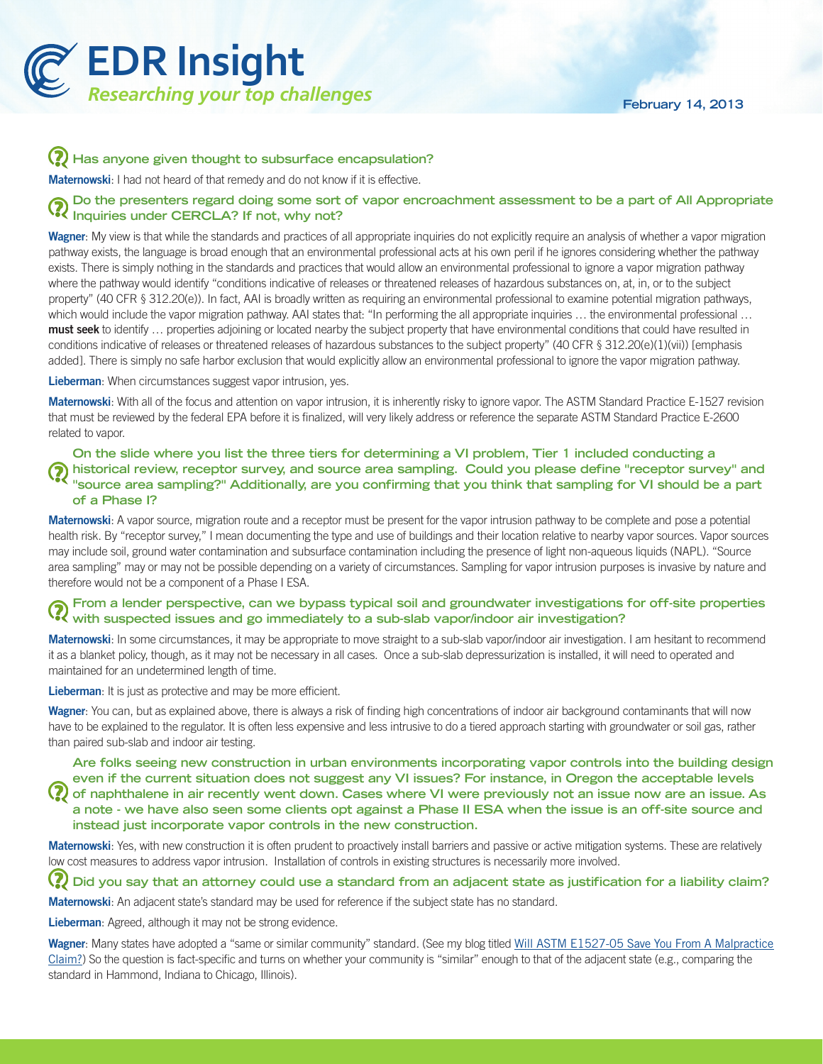

### **Has anyone given thought to subsurface encapsulation?**

**Maternowski:** I had not heard of that remedy and do not know if it is effective.

## **Do the presenters regard doing some sort of vapor encroachment assessment to be a part of All Appropriate Inquiries under CERCLA? If not, why not?**

Wagner: My view is that while the standards and practices of all appropriate inquiries do not explicitly require an analysis of whether a vapor migration pathway exists, the language is broad enough that an environmental professional acts at his own peril if he ignores considering whether the pathway exists. There is simply nothing in the standards and practices that would allow an environmental professional to ignore a vapor migration pathway where the pathway would identify "conditions indicative of releases or threatened releases of hazardous substances on, at, in, or to the subject property" (40 CFR § 312.20(e)). In fact, AAI is broadly written as requiring an environmental professional to examine potential migration pathways, which would include the vapor migration pathway. AAI states that: "In performing the all appropriate inquiries ... the environmental professional ... must seek to identify ... properties adjoining or located nearby the subject property that have environmental conditions that could have resulted in conditions indicative of releases or threatened releases of hazardous substances to the subject property" (40 CFR § 312.20(e)(1)(vii)) [emphasis added]. There is simply no safe harbor exclusion that would explicitly allow an environmental professional to ignore the vapor migration pathway.

Lieberman: When circumstances suggest vapor intrusion, yes.

Maternowski: With all of the focus and attention on vapor intrusion, it is inherently risky to ignore vapor. The ASTM Standard Practice E-1527 revision that must be reviewed by the federal EPA before it is finalized, will very likely address or reference the separate ASTM Standard Practice E-2600 related to vapor.

### **On the slide where you list the three tiers for determining a VI problem, Tier 1 included conducting a historical review, receptor survey, and source area sampling. Could you please define "receptor survey" and "source area sampling?" Additionally, are you confirming that you think that sampling for VI should be a part of a Phase I?**

Maternowski: A vapor source, migration route and a receptor must be present for the vapor intrusion pathway to be complete and pose a potential health risk. By "receptor survey," I mean documenting the type and use of buildings and their location relative to nearby vapor sources. Vapor sources may include soil, ground water contamination and subsurface contamination including the presence of light non-aqueous liquids (NAPL). "Source area sampling" may or may not be possible depending on a variety of circumstances. Sampling for vapor intrusion purposes is invasive by nature and therefore would not be a component of a Phase I ESA.

## **From a lender perspective, can we bypass typical soil and groundwater investigations for off-site properties**  When a list of the spectrus, can we sy place sy place can also see the investigation?<br>Whith suspected issues and go immediately to a sub-slab vapor/indoor air investigation?

Maternowski: In some circumstances, it may be appropriate to move straight to a sub-slab vapor/indoor air investigation. I am hesitant to recommend it as a blanket policy, though, as it may not be necessary in all cases. Once a sub-slab depressurization is installed, it will need to operated and maintained for an undetermined length of time.

Lieberman: It is just as protective and may be more efficient.

Wagner: You can, but as explained above, there is always a risk of finding high concentrations of indoor air background contaminants that will now have to be explained to the regulator. It is often less expensive and less intrusive to do a tiered approach starting with groundwater or soil gas, rather than paired sub-slab and indoor air testing.

**Are folks seeing new construction in urban environments incorporating vapor controls into the building design even if the current situation does not suggest any VI issues? For instance, in Oregon the acceptable levels of naphthalene in air recently went down. Cases where VI were previously not an issue now are an issue. As a note - we have also seen some clients opt against a Phase II ESA when the issue is an off-site source and instead just incorporate vapor controls in the new construction.**

Maternowski: Yes, with new construction it is often prudent to proactively install barriers and passive or active mitigation systems. These are relatively low cost measures to address vapor intrusion. Installation of controls in existing structures is necessarily more involved.

**Did you say that an attorney could use a standard from an adjacent state as justification for a liability claim?**

Maternowski: An adjacent state's standard may be used for reference if the subject state has no standard.

Lieberman: Agreed, although it may not be strong evidence.

Wagner: Many states have adopted a "same or similar community" standard. (See my blog titled Will ASTM E1527-05 Save You From A Malpractice [Claim?](http://commonground.edrnet.com/posts/ce2f258ffd)) So the question is fact-specific and turns on whether your community is "similar" enough to that of the adjacent state (e.g., comparing the standard in Hammond, Indiana to Chicago, Illinois).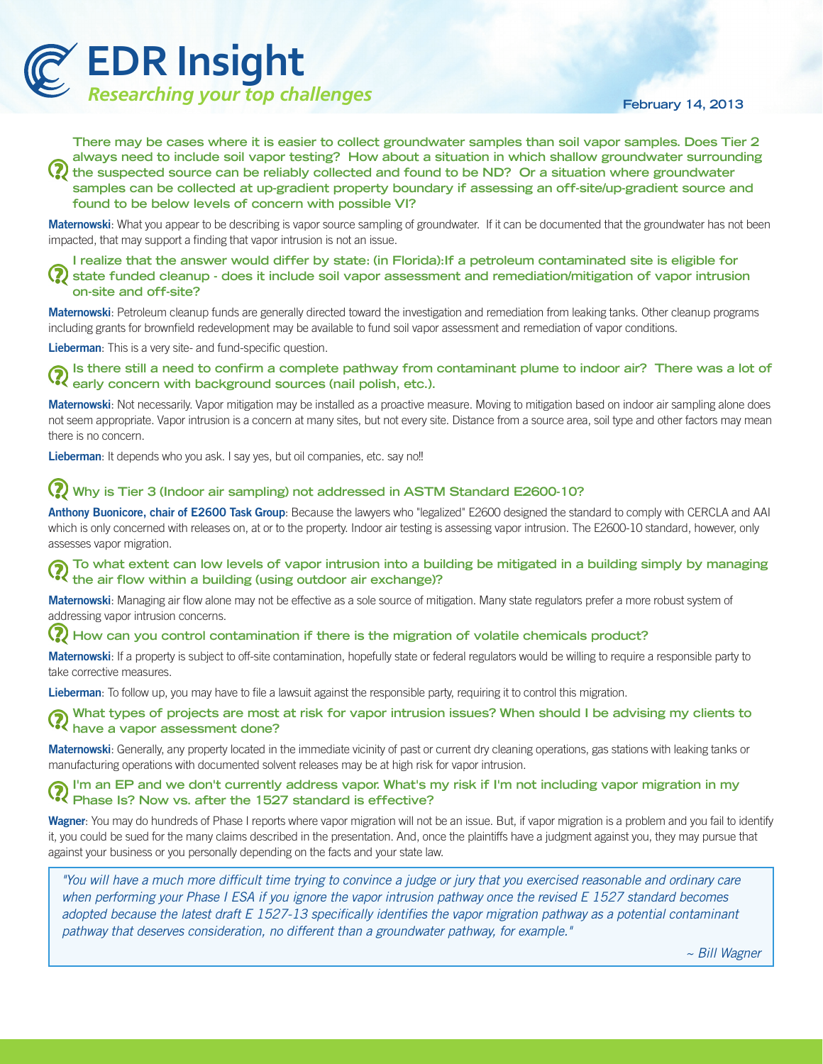

#### **February 14, 2013**

**There may be cases where it is easier to collect groundwater samples than soil vapor samples. Does Tier 2 always need to include soil vapor testing? How about a situation in which shallow groundwater surrounding the suspected source can be reliably collected and found to be ND? Or a situation where groundwater samples can be collected at up-gradient property boundary if assessing an off-site/up-gradient source and found to be below levels of concern with possible VI?**

Maternowski: What you appear to be describing is vapor source sampling of groundwater. If it can be documented that the groundwater has not been impacted, that may support a finding that vapor intrusion is not an issue.

**I realize that the answer would differ by state: (in Florida):If a petroleum contaminated site is eligible for state funded cleanup - does it include soil vapor assessment and remediation/mitigation of vapor intrusion on-site and off-site?**

Maternowski: Petroleum cleanup funds are generally directed toward the investigation and remediation from leaking tanks. Other cleanup programs including grants for brownfield redevelopment may be available to fund soil vapor assessment and remediation of vapor conditions.

Lieberman: This is a very site- and fund-specific question.

**Is there still a need to confirm a complete pathway from contaminant plume to indoor air? There was a lot of early concern with background sources (nail polish, etc.).**

Maternowski: Not necessarily. Vapor mitigation may be installed as a proactive measure. Moving to mitigation based on indoor air sampling alone does not seem appropriate. Vapor intrusion is a concern at many sites, but not every site. Distance from a source area, soil type and other factors may mean there is no concern.

Lieberman: It depends who you ask. I say yes, but oil companies, etc. say no!!

#### **Why is Tier 3 (Indoor air sampling) not addressed in ASTM Standard E2600-10?**

Anthony Buonicore, chair of E2600 Task Group: Because the lawyers who "legalized" E2600 designed the standard to comply with CERCLA and AAI which is only concerned with releases on, at or to the property. Indoor air testing is assessing vapor intrusion. The E2600-10 standard, however, only assesses vapor migration.

**To what extent can low levels of vapor intrusion into a building be mitigated in a building simply by managing the air flow within a building (using outdoor air exchange)?**

Maternowski: Managing air flow alone may not be effective as a sole source of mitigation. Many state regulators prefer a more robust system of addressing vapor intrusion concerns.

#### $\mathbf Q$ **How can you control contamination if there is the migration of volatile chemicals product?**

Maternowski: If a property is subject to off-site contamination, hopefully state or federal regulators would be willing to require a responsible party to take corrective measures.

Lieberman: To follow up, you may have to file a lawsuit against the responsible party, requiring it to control this migration.

**What types of projects are most at risk for vapor intrusion issues? When should I be advising my clients to have a vapor assessment done?**<br>**A** have a vapor assessment done?

Maternowski: Generally, any property located in the immediate vicinity of past or current dry cleaning operations, gas stations with leaking tanks or manufacturing operations with documented solvent releases may be at high risk for vapor intrusion.

## **I'm an EP and we don't currently address vapor. What's my risk if I'm not including vapor migration in my Phase Is?** Now vs. after the 1527 standard is effective?

Wagner: You may do hundreds of Phase I reports where vapor migration will not be an issue. But, if vapor migration is a problem and you fail to identify it, you could be sued for the many claims described in the presentation. And, once the plaintiffs have a judgment against you, they may pursue that against your business or you personally depending on the facts and your state law.

*"You will have a much more difficult time trying to convince a judge or jury that you exercised reasonable and ordinary care*  when performing your Phase I ESA if you ignore the vapor intrusion pathway once the revised E 1527 standard becomes *adopted because the latest draft E 1527-13 specifically identifies the vapor migration pathway as a potential contaminant pathway that deserves consideration, no different than a groundwater pathway, for example."* 

*~ Bill Wagner*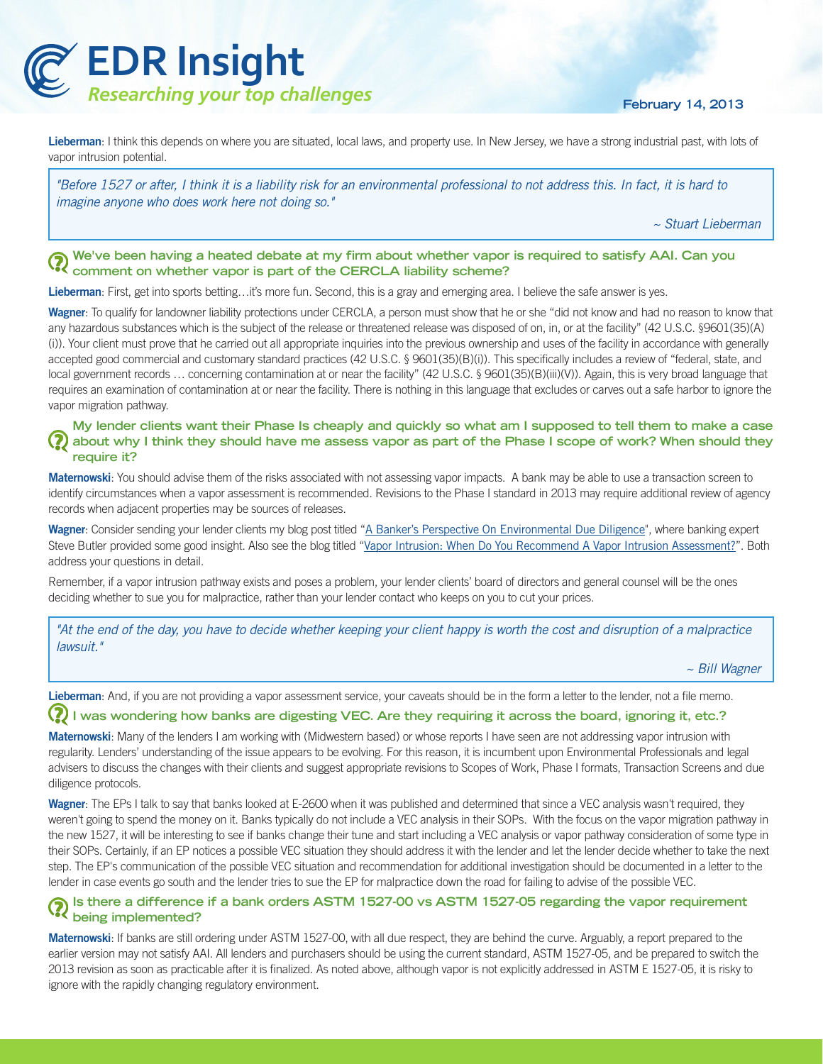

**February 14, 2013**

Lieberman: I think this depends on where you are situated, local laws, and property use. In New Jersey, we have a strong industrial past, with lots of vapor intrusion potential.

*"Before 1527 or after, I think it is a liability risk for an environmental professional to not address this. In fact, it is hard to imagine anyone who does work here not doing so."*

*~ Stuart Lieberman*

#### **We've been having a heated debate at my firm about whether vapor is required to satisfy AAI. Can you comment on whether vapor is part of the CERCLA liability scheme?**

Lieberman: First, get into sports betting...it's more fun. Second, this is a gray and emerging area. I believe the safe answer is yes.

Wagner: To qualify for landowner liability protections under CERCLA, a person must show that he or she "did not know and had no reason to know that any hazardous substances which is the subject of the release or threatened release was disposed of on, in, or at the facility" (42 U.S.C. §9601(35)(A) (i)). Your client must prove that he carried out all appropriate inquiries into the previous ownership and uses of the facility in accordance with generally accepted good commercial and customary standard practices (42 U.S.C. § 9601(35)(B)(i)). This specifically includes a review of "federal, state, and local government records ... concerning contamination at or near the facility" (42 U.S.C. § 9601(35)(B)(iii)(V)). Again, this is very broad language that requires an examination of contamination at or near the facility. There is nothing in this language that excludes or carves out a safe harbor to ignore the vapor migration pathway.

#### **My lender clients want their Phase Is cheaply and quickly so what am I supposed to tell them to make a case about why I think they should have me assess vapor as part of the Phase I scope of work? When should they require it?**

Maternowski: You should advise them of the risks associated with not assessing vapor impacts. A bank may be able to use a transaction screen to identify circumstances when a vapor assessment is recommended. Revisions to the Phase I standard in 2013 may require additional review of agency records when adjacent properties may be sources of releases.

Wagner: Consider sending your lender clients my blog post titled "[A Banker's Perspective On Environmental Due Diligence](http://commonground.edrnet.com/posts/3685bcd9ec)", where banking expert Steve Butler provided some good insight. Also see the blog titled "[Vapor Intrusion: When Do You Recommend A Vapor Intrusion Assessment?](http://commonground.edrnet.com/posts/988a37bee8)". Both address your questions in detail.

Remember, if a vapor intrusion pathway exists and poses a problem, your lender clients' board of directors and general counsel will be the ones deciding whether to sue you for malpractice, rather than your lender contact who keeps on you to cut your prices.

*"At the end of the day, you have to decide whether keeping your client happy is worth the cost and disruption of a malpractice lawsuit."*

*~ Bill Wagner*

Lieberman: And, if you are not providing a vapor assessment service, your caveats should be in the form a letter to the lender, not a file memo.

#### (?) was wondering how banks are digesting VEC. Are they requiring it across the board, ignoring it, etc.?

Maternowski: Many of the lenders I am working with (Midwestern based) or whose reports I have seen are not addressing vapor intrusion with regularity. Lenders' understanding of the issue appears to be evolving. For this reason, it is incumbent upon Environmental Professionals and legal advisers to discuss the changes with their clients and suggest appropriate revisions to Scopes of Work, Phase I formats, Transaction Screens and due diligence protocols.

Wagner: The EPs I talk to say that banks looked at E-2600 when it was published and determined that since a VEC analysis wasn't required, they weren't going to spend the money on it. Banks typically do not include a VEC analysis in their SOPs. With the focus on the vapor migration pathway in the new 1527, it will be interesting to see if banks change their tune and start including a VEC analysis or vapor pathway consideration of some type in their SOPs. Certainly, if an EP notices a possible VEC situation they should address it with the lender and let the lender decide whether to take the next step. The EP's communication of the possible VEC situation and recommendation for additional investigation should be documented in a letter to the lender in case events go south and the lender tries to sue the EP for malpractice down the road for failing to advise of the possible VEC.

#### **Is there a difference if a bank orders ASTM 1527-00 vs ASTM 1527-05 regarding the vapor requirement being implemented?**

Maternowski: If banks are still ordering under ASTM 1527-00, with all due respect, they are behind the curve. Arguably, a report prepared to the earlier version may not satisfy AAI. All lenders and purchasers should be using the current standard, ASTM 1527-05, and be prepared to switch the 2013 revision as soon as practicable after it is finalized. As noted above, although vapor is not explicitly addressed in ASTM E 1527-05, it is risky to ignore with the rapidly changing regulatory environment.